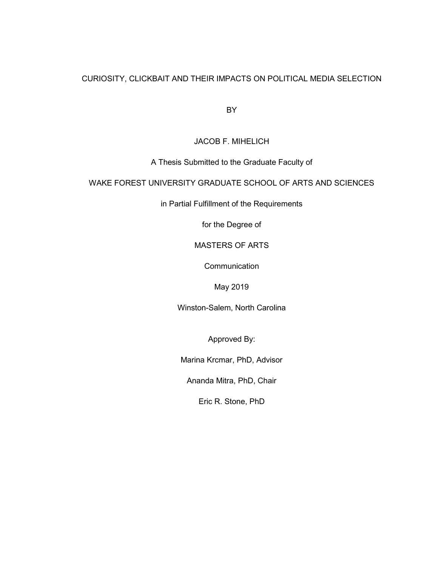## CURIOSITY, CLICKBAIT AND THEIR IMPACTS ON POLITICAL MEDIA SELECTION

BY

JACOB F. MIHELICH

A Thesis Submitted to the Graduate Faculty of

# WAKE FOREST UNIVERSITY GRADUATE SCHOOL OF ARTS AND SCIENCES

in Partial Fulfillment of the Requirements

for the Degree of

MASTERS OF ARTS

**Communication** 

May 2019

Winston-Salem, North Carolina

Approved By:

Marina Krcmar, PhD, Advisor

Ananda Mitra, PhD, Chair

Eric R. Stone, PhD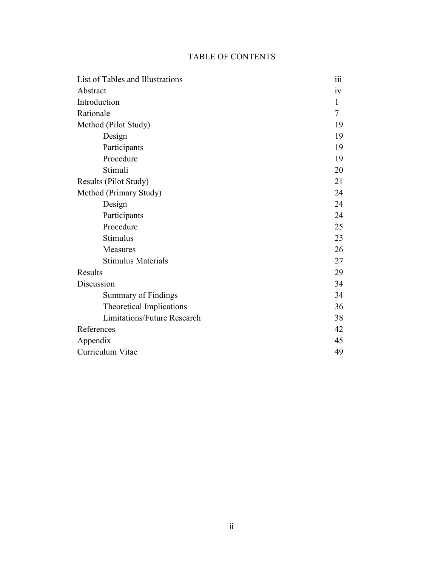# TABLE OF CONTENTS

| List of Tables and Illustrations   | $\cdot\cdot\cdot$<br>111 |
|------------------------------------|--------------------------|
| Abstract                           | 1V                       |
| Introduction                       | 1                        |
| Rationale                          | 7                        |
| Method (Pilot Study)               | 19                       |
| Design                             | 19                       |
| Participants                       | 19                       |
| Procedure                          | 19                       |
| Stimuli                            | 20                       |
| Results (Pilot Study)              | 21                       |
| Method (Primary Study)             | 24                       |
| Design                             | 24                       |
| Participants                       | 24                       |
| Procedure                          | 25                       |
| Stimulus                           | 25                       |
| Measures                           | 26                       |
| <b>Stimulus Materials</b>          | 27                       |
| Results                            | 29                       |
| Discussion                         | 34                       |
| Summary of Findings                | 34                       |
| Theoretical Implications           | 36                       |
| <b>Limitations/Future Research</b> | 38                       |
| References                         | 42                       |
| Appendix                           | 45                       |
| Curriculum Vitae                   | 49                       |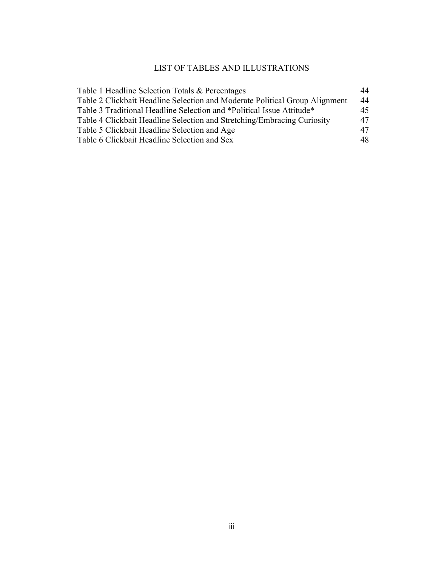# LIST OF TABLES AND ILLUSTRATIONS

| Table 1 Headline Selection Totals & Percentages                             | 44 |
|-----------------------------------------------------------------------------|----|
| Table 2 Clickbait Headline Selection and Moderate Political Group Alignment | 44 |
| Table 3 Traditional Headline Selection and *Political Issue Attitude*       | 45 |
| Table 4 Clickbait Headline Selection and Stretching/Embracing Curiosity     | 47 |
| Table 5 Clickbait Headline Selection and Age                                | 47 |
| Table 6 Clickbait Headline Selection and Sex                                | 48 |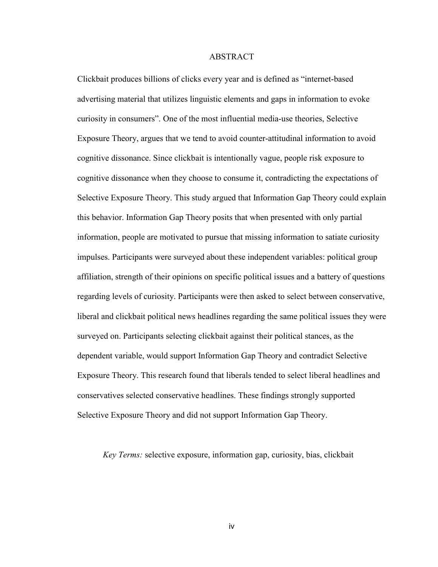### ABSTRACT

Clickbait produces billions of clicks every year and is defined as "internet-based advertising material that utilizes linguistic elements and gaps in information to evoke curiosity in consumers". One of the most influential media-use theories, Selective Exposure Theory, argues that we tend to avoid counter-attitudinal information to avoid cognitive dissonance. Since clickbait is intentionally vague, people risk exposure to cognitive dissonance when they choose to consume it, contradicting the expectations of Selective Exposure Theory. This study argued that Information Gap Theory could explain this behavior. Information Gap Theory posits that when presented with only partial information, people are motivated to pursue that missing information to satiate curiosity impulses. Participants were surveyed about these independent variables: political group affiliation, strength of their opinions on specific political issues and a battery of questions regarding levels of curiosity. Participants were then asked to select between conservative, liberal and clickbait political news headlines regarding the same political issues they were surveyed on. Participants selecting clickbait against their political stances, as the dependent variable, would support Information Gap Theory and contradict Selective Exposure Theory. This research found that liberals tended to select liberal headlines and conservatives selected conservative headlines. These findings strongly supported Selective Exposure Theory and did not support Information Gap Theory.

 *Key Terms:* selective exposure, information gap, curiosity, bias, clickbait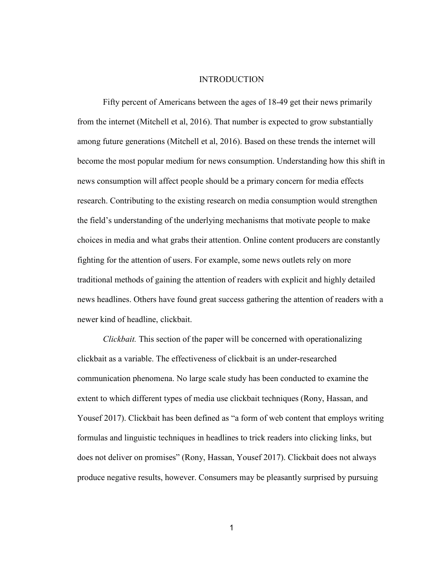#### INTRODUCTION

Fifty percent of Americans between the ages of 18-49 get their news primarily from the internet (Mitchell et al, 2016). That number is expected to grow substantially among future generations (Mitchell et al, 2016). Based on these trends the internet will become the most popular medium for news consumption. Understanding how this shift in news consumption will affect people should be a primary concern for media effects research. Contributing to the existing research on media consumption would strengthen the field's understanding of the underlying mechanisms that motivate people to make choices in media and what grabs their attention. Online content producers are constantly fighting for the attention of users. For example, some news outlets rely on more traditional methods of gaining the attention of readers with explicit and highly detailed news headlines. Others have found great success gathering the attention of readers with a newer kind of headline, clickbait.

*Clickbait.* This section of the paper will be concerned with operationalizing clickbait as a variable. The effectiveness of clickbait is an under-researched communication phenomena. No large scale study has been conducted to examine the extent to which different types of media use clickbait techniques (Rony, Hassan, and Yousef 2017). Clickbait has been defined as "a form of web content that employs writing formulas and linguistic techniques in headlines to trick readers into clicking links, but does not deliver on promises" (Rony, Hassan, Yousef 2017). Clickbait does not always produce negative results, however. Consumers may be pleasantly surprised by pursuing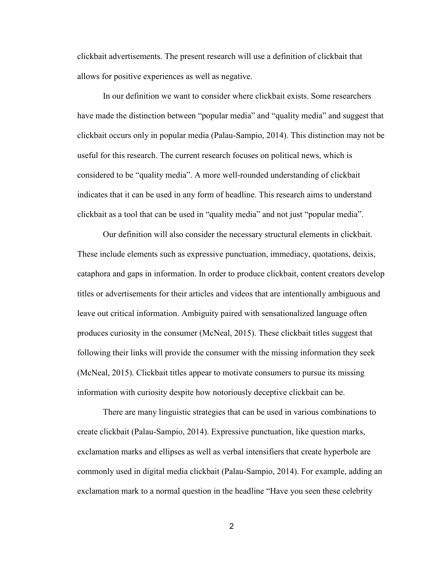clickbait advertisements. The present research will use a definition of clickbait that allows for positive experiences as well as negative.

In our definition we want to consider where clickbait exists. Some researchers have made the distinction between "popular media" and "quality media" and suggest that clickbait occurs only in popular media (Palau-Sampio, 2014). This distinction may not be useful for this research. The current research focuses on political news, which is considered to be "quality media". A more well-rounded understanding of clickbait indicates that it can be used in any form of headline. This research aims to understand clickbait as a tool that can be used in "quality media" and not just "popular media".

Our definition will also consider the necessary structural elements in clickbait. These include elements such as expressive punctuation, immediacy, quotations, deixis, cataphora and gaps in information. In order to produce clickbait, content creators develop titles or advertisements for their articles and videos that are intentionally ambiguous and leave out critical information. Ambiguity paired with sensationalized language often produces curiosity in the consumer (McNeal, 2015). These clickbait titles suggest that following their links will provide the consumer with the missing information they seek (McNeal, 2015). Clickbait titles appear to motivate consumers to pursue its missing information with curiosity despite how notoriously deceptive clickbait can be.

There are many linguistic strategies that can be used in various combinations to create clickbait (Palau-Sampio, 2014). Expressive punctuation, like question marks, exclamation marks and ellipses as well as verbal intensifiers that create hyperbole are commonly used in digital media clickbait (Palau-Sampio, 2014). For example, adding an exclamation mark to a normal question in the headline "Have you seen these celebrity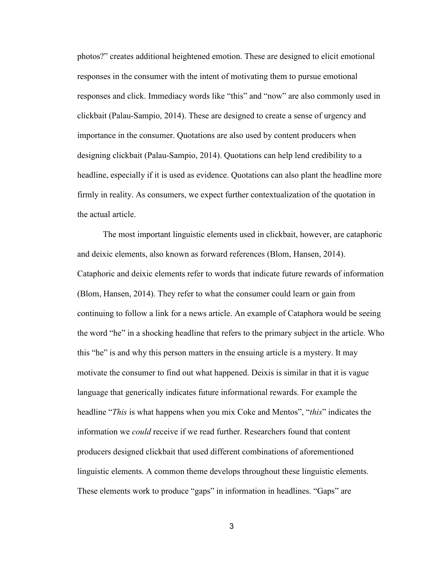photos?" creates additional heightened emotion. These are designed to elicit emotional responses in the consumer with the intent of motivating them to pursue emotional responses and click. Immediacy words like "this" and "now" are also commonly used in clickbait (Palau-Sampio, 2014). These are designed to create a sense of urgency and importance in the consumer. Quotations are also used by content producers when designing clickbait (Palau-Sampio, 2014). Quotations can help lend credibility to a headline, especially if it is used as evidence. Quotations can also plant the headline more firmly in reality. As consumers, we expect further contextualization of the quotation in the actual article.

The most important linguistic elements used in clickbait, however, are cataphoric and deixic elements, also known as forward references (Blom, Hansen, 2014). Cataphoric and deixic elements refer to words that indicate future rewards of information (Blom, Hansen, 2014). They refer to what the consumer could learn or gain from continuing to follow a link for a news article. An example of Cataphora would be seeing the word "he" in a shocking headline that refers to the primary subject in the article. Who this "he" is and why this person matters in the ensuing article is a mystery. It may motivate the consumer to find out what happened. Deixis is similar in that it is vague language that generically indicates future informational rewards. For example the headline "*This* is what happens when you mix Coke and Mentos", "*this*" indicates the information we *could* receive if we read further. Researchers found that content producers designed clickbait that used different combinations of aforementioned linguistic elements. A common theme develops throughout these linguistic elements. These elements work to produce "gaps" in information in headlines. "Gaps" are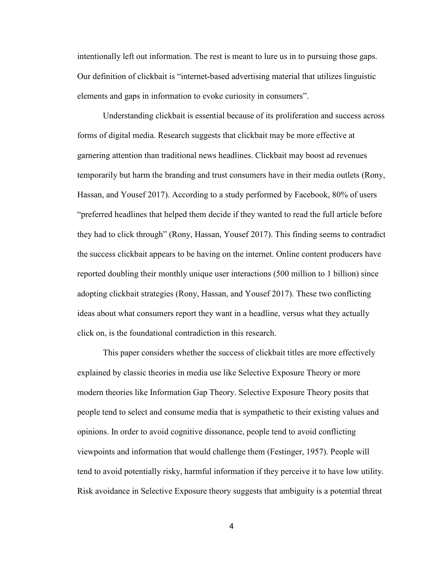intentionally left out information. The rest is meant to lure us in to pursuing those gaps. Our definition of clickbait is "internet-based advertising material that utilizes linguistic elements and gaps in information to evoke curiosity in consumers".

Understanding clickbait is essential because of its proliferation and success across forms of digital media. Research suggests that clickbait may be more effective at garnering attention than traditional news headlines. Clickbait may boost ad revenues temporarily but harm the branding and trust consumers have in their media outlets (Rony, Hassan, and Yousef 2017). According to a study performed by Facebook, 80% of users "preferred headlines that helped them decide if they wanted to read the full article before they had to click through" (Rony, Hassan, Yousef 2017). This finding seems to contradict the success clickbait appears to be having on the internet. Online content producers have reported doubling their monthly unique user interactions (500 million to 1 billion) since adopting clickbait strategies (Rony, Hassan, and Yousef 2017). These two conflicting ideas about what consumers report they want in a headline, versus what they actually click on, is the foundational contradiction in this research.

This paper considers whether the success of clickbait titles are more effectively explained by classic theories in media use like Selective Exposure Theory or more modern theories like Information Gap Theory. Selective Exposure Theory posits that people tend to select and consume media that is sympathetic to their existing values and opinions. In order to avoid cognitive dissonance, people tend to avoid conflicting viewpoints and information that would challenge them (Festinger, 1957). People will tend to avoid potentially risky, harmful information if they perceive it to have low utility. Risk avoidance in Selective Exposure theory suggests that ambiguity is a potential threat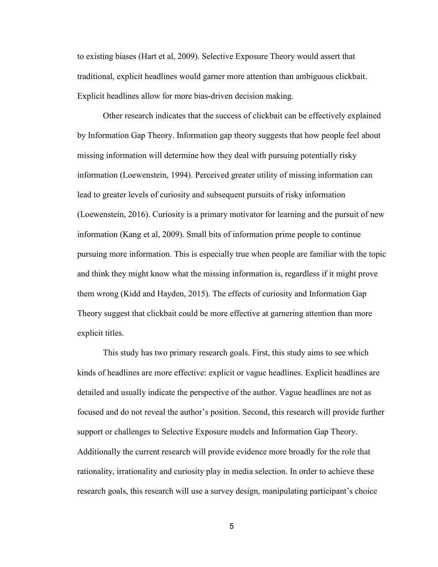to existing biases (Hart et al, 2009). Selective Exposure Theory would assert that traditional, explicit headlines would garner more attention than ambiguous clickbait. Explicit headlines allow for more bias-driven decision making.

Other research indicates that the success of clickbait can be effectively explained by Information Gap Theory. Information gap theory suggests that how people feel about missing information will determine how they deal with pursuing potentially risky information (Loewenstein, 1994). Perceived greater utility of missing information can lead to greater levels of curiosity and subsequent pursuits of risky information (Loewenstein, 2016). Curiosity is a primary motivator for learning and the pursuit of new information (Kang et al, 2009). Small bits of information prime people to continue pursuing more information. This is especially true when people are familiar with the topic and think they might know what the missing information is, regardless if it might prove them wrong (Kidd and Hayden, 2015). The effects of curiosity and Information Gap Theory suggest that clickbait could be more effective at garnering attention than more explicit titles.

This study has two primary research goals. First, this study aims to see which kinds of headlines are more effective: explicit or vague headlines. Explicit headlines are detailed and usually indicate the perspective of the author. Vague headlines are not as focused and do not reveal the author's position. Second, this research will provide further support or challenges to Selective Exposure models and Information Gap Theory. Additionally the current research will provide evidence more broadly for the role that rationality, irrationality and curiosity play in media selection. In order to achieve these research goals, this research will use a survey design, manipulating participant's choice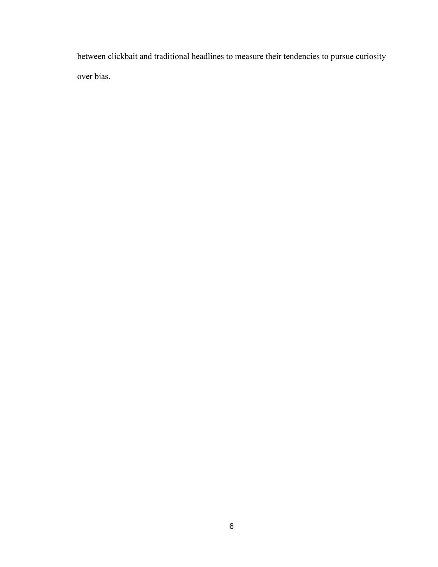between clickbait and traditional headlines to measure their tendencies to pursue curiosity over bias.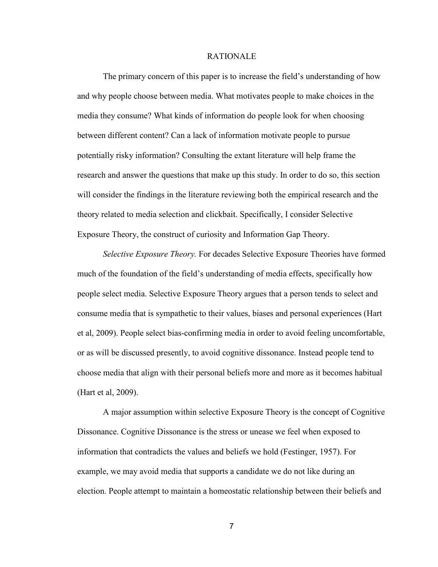#### RATIONALE

The primary concern of this paper is to increase the field's understanding of how and why people choose between media. What motivates people to make choices in the media they consume? What kinds of information do people look for when choosing between different content? Can a lack of information motivate people to pursue potentially risky information? Consulting the extant literature will help frame the research and answer the questions that make up this study. In order to do so, this section will consider the findings in the literature reviewing both the empirical research and the theory related to media selection and clickbait. Specifically, I consider Selective Exposure Theory, the construct of curiosity and Information Gap Theory.

*Selective Exposure Theory.* For decades Selective Exposure Theories have formed much of the foundation of the field's understanding of media effects, specifically how people select media. Selective Exposure Theory argues that a person tends to select and consume media that is sympathetic to their values, biases and personal experiences (Hart et al, 2009). People select bias-confirming media in order to avoid feeling uncomfortable, or as will be discussed presently, to avoid cognitive dissonance. Instead people tend to choose media that align with their personal beliefs more and more as it becomes habitual (Hart et al, 2009).

A major assumption within selective Exposure Theory is the concept of Cognitive Dissonance. Cognitive Dissonance is the stress or unease we feel when exposed to information that contradicts the values and beliefs we hold (Festinger, 1957). For example, we may avoid media that supports a candidate we do not like during an election. People attempt to maintain a homeostatic relationship between their beliefs and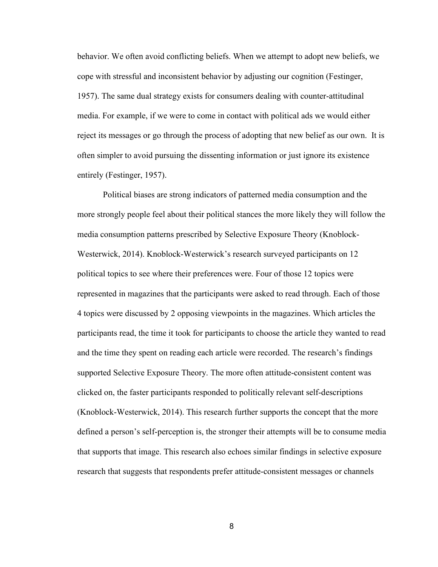behavior. We often avoid conflicting beliefs. When we attempt to adopt new beliefs, we cope with stressful and inconsistent behavior by adjusting our cognition (Festinger, 1957). The same dual strategy exists for consumers dealing with counter-attitudinal media. For example, if we were to come in contact with political ads we would either reject its messages or go through the process of adopting that new belief as our own. It is often simpler to avoid pursuing the dissenting information or just ignore its existence entirely (Festinger, 1957).

Political biases are strong indicators of patterned media consumption and the more strongly people feel about their political stances the more likely they will follow the media consumption patterns prescribed by Selective Exposure Theory (Knoblock-Westerwick, 2014). Knoblock-Westerwick's research surveyed participants on 12 political topics to see where their preferences were. Four of those 12 topics were represented in magazines that the participants were asked to read through. Each of those 4 topics were discussed by 2 opposing viewpoints in the magazines. Which articles the participants read, the time it took for participants to choose the article they wanted to read and the time they spent on reading each article were recorded. The research's findings supported Selective Exposure Theory. The more often attitude-consistent content was clicked on, the faster participants responded to politically relevant self-descriptions (Knoblock-Westerwick, 2014). This research further supports the concept that the more defined a person's self-perception is, the stronger their attempts will be to consume media that supports that image. This research also echoes similar findings in selective exposure research that suggests that respondents prefer attitude-consistent messages or channels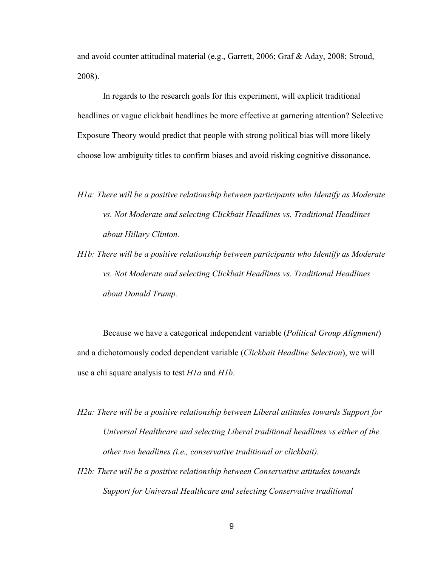and avoid counter attitudinal material (e.g., Garrett, 2006; Graf & Aday, 2008; Stroud, 2008).

In regards to the research goals for this experiment, will explicit traditional headlines or vague clickbait headlines be more effective at garnering attention? Selective Exposure Theory would predict that people with strong political bias will more likely choose low ambiguity titles to confirm biases and avoid risking cognitive dissonance.

- *H1a: There will be a positive relationship between participants who Identify as Moderate vs. Not Moderate and selecting Clickbait Headlines vs. Traditional Headlines about Hillary Clinton.*
- *H1b: There will be a positive relationship between participants who Identify as Moderate vs. Not Moderate and selecting Clickbait Headlines vs. Traditional Headlines about Donald Trump.*

Because we have a categorical independent variable (*Political Group Alignment*) and a dichotomously coded dependent variable (*Clickbait Headline Selection*), we will use a chi square analysis to test *H1a* and *H1b*.

- *H2a: There will be a positive relationship between Liberal attitudes towards Support for Universal Healthcare and selecting Liberal traditional headlines vs either of the other two headlines (i.e., conservative traditional or clickbait).*
- *H2b: There will be a positive relationship between Conservative attitudes towards Support for Universal Healthcare and selecting Conservative traditional*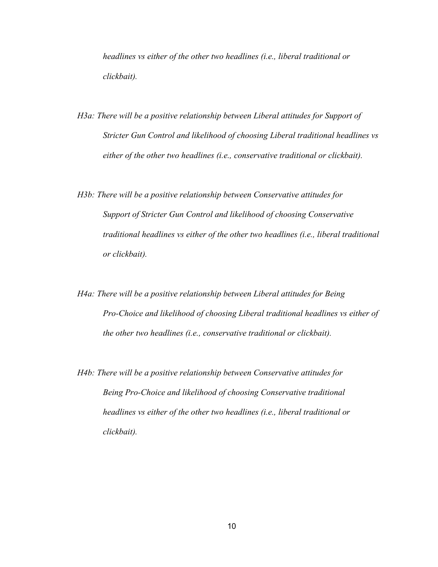*headlines vs either of the other two headlines (i.e., liberal traditional or clickbait).* 

- *H3a: There will be a positive relationship between Liberal attitudes for Support of Stricter Gun Control and likelihood of choosing Liberal traditional headlines vs either of the other two headlines (i.e., conservative traditional or clickbait).*
- *H3b: There will be a positive relationship between Conservative attitudes for Support of Stricter Gun Control and likelihood of choosing Conservative traditional headlines vs either of the other two headlines (i.e., liberal traditional or clickbait).*
- *H4a: There will be a positive relationship between Liberal attitudes for Being Pro-Choice and likelihood of choosing Liberal traditional headlines vs either of the other two headlines (i.e., conservative traditional or clickbait).*
- *H4b: There will be a positive relationship between Conservative attitudes for Being Pro-Choice and likelihood of choosing Conservative traditional headlines vs either of the other two headlines (i.e., liberal traditional or clickbait).*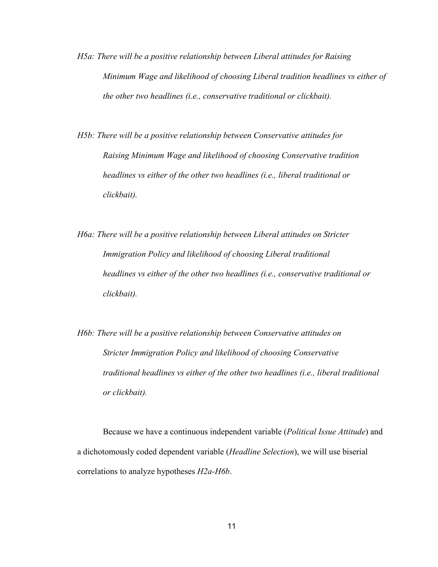- *H5a: There will be a positive relationship between Liberal attitudes for Raising Minimum Wage and likelihood of choosing Liberal tradition headlines vs either of the other two headlines (i.e., conservative traditional or clickbait).*
- *H5b: There will be a positive relationship between Conservative attitudes for Raising Minimum Wage and likelihood of choosing Conservative tradition headlines vs either of the other two headlines (i.e., liberal traditional or clickbait).*
- *H6a: There will be a positive relationship between Liberal attitudes on Stricter Immigration Policy and likelihood of choosing Liberal traditional headlines vs either of the other two headlines (i.e., conservative traditional or clickbait).*
- *H6b: There will be a positive relationship between Conservative attitudes on Stricter Immigration Policy and likelihood of choosing Conservative traditional headlines vs either of the other two headlines (i.e., liberal traditional or clickbait).*

Because we have a continuous independent variable (*Political Issue Attitude*) and a dichotomously coded dependent variable (*Headline Selection*), we will use biserial correlations to analyze hypotheses *H2a-H6b*.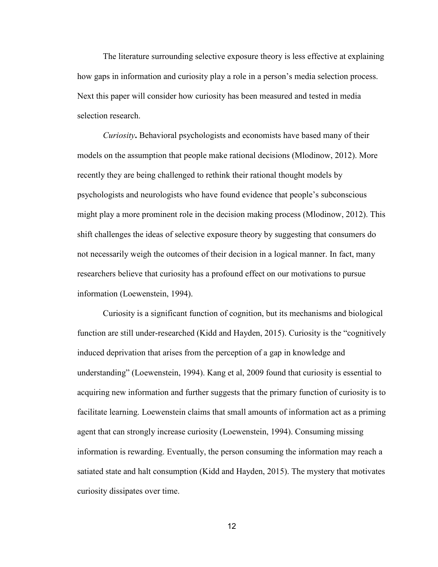The literature surrounding selective exposure theory is less effective at explaining how gaps in information and curiosity play a role in a person's media selection process. Next this paper will consider how curiosity has been measured and tested in media selection research.

*Curiosity***.** Behavioral psychologists and economists have based many of their models on the assumption that people make rational decisions (Mlodinow, 2012). More recently they are being challenged to rethink their rational thought models by psychologists and neurologists who have found evidence that people's subconscious might play a more prominent role in the decision making process (Mlodinow, 2012). This shift challenges the ideas of selective exposure theory by suggesting that consumers do not necessarily weigh the outcomes of their decision in a logical manner. In fact, many researchers believe that curiosity has a profound effect on our motivations to pursue information (Loewenstein, 1994).

 Curiosity is a significant function of cognition, but its mechanisms and biological function are still under-researched (Kidd and Hayden, 2015). Curiosity is the "cognitively induced deprivation that arises from the perception of a gap in knowledge and understanding" (Loewenstein, 1994). Kang et al, 2009 found that curiosity is essential to acquiring new information and further suggests that the primary function of curiosity is to facilitate learning. Loewenstein claims that small amounts of information act as a priming agent that can strongly increase curiosity (Loewenstein, 1994). Consuming missing information is rewarding. Eventually, the person consuming the information may reach a satiated state and halt consumption (Kidd and Hayden, 2015). The mystery that motivates curiosity dissipates over time.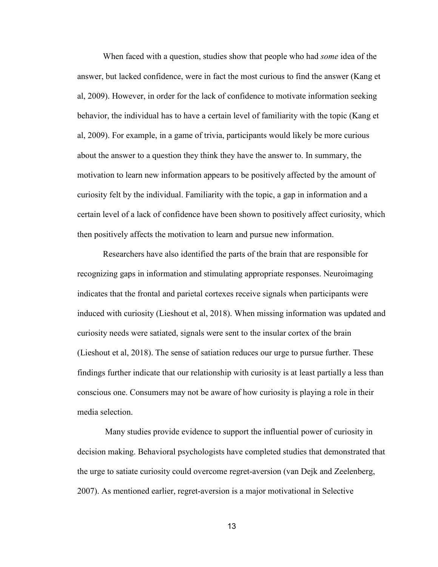When faced with a question, studies show that people who had *some* idea of the answer, but lacked confidence, were in fact the most curious to find the answer (Kang et al, 2009). However, in order for the lack of confidence to motivate information seeking behavior, the individual has to have a certain level of familiarity with the topic (Kang et al, 2009). For example, in a game of trivia, participants would likely be more curious about the answer to a question they think they have the answer to. In summary, the motivation to learn new information appears to be positively affected by the amount of curiosity felt by the individual. Familiarity with the topic, a gap in information and a certain level of a lack of confidence have been shown to positively affect curiosity, which then positively affects the motivation to learn and pursue new information.

 Researchers have also identified the parts of the brain that are responsible for recognizing gaps in information and stimulating appropriate responses. Neuroimaging indicates that the frontal and parietal cortexes receive signals when participants were induced with curiosity (Lieshout et al, 2018). When missing information was updated and curiosity needs were satiated, signals were sent to the insular cortex of the brain (Lieshout et al, 2018). The sense of satiation reduces our urge to pursue further. These findings further indicate that our relationship with curiosity is at least partially a less than conscious one. Consumers may not be aware of how curiosity is playing a role in their media selection.

 Many studies provide evidence to support the influential power of curiosity in decision making. Behavioral psychologists have completed studies that demonstrated that the urge to satiate curiosity could overcome regret-aversion (van Dejk and Zeelenberg, 2007). As mentioned earlier, regret-aversion is a major motivational in Selective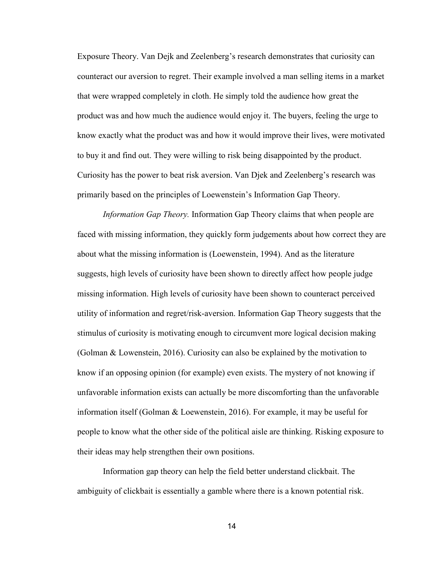Exposure Theory. Van Dejk and Zeelenberg's research demonstrates that curiosity can counteract our aversion to regret. Their example involved a man selling items in a market that were wrapped completely in cloth. He simply told the audience how great the product was and how much the audience would enjoy it. The buyers, feeling the urge to know exactly what the product was and how it would improve their lives, were motivated to buy it and find out. They were willing to risk being disappointed by the product. Curiosity has the power to beat risk aversion. Van Djek and Zeelenberg's research was primarily based on the principles of Loewenstein's Information Gap Theory.

*Information Gap Theory.* Information Gap Theory claims that when people are faced with missing information, they quickly form judgements about how correct they are about what the missing information is (Loewenstein, 1994). And as the literature suggests, high levels of curiosity have been shown to directly affect how people judge missing information. High levels of curiosity have been shown to counteract perceived utility of information and regret/risk-aversion. Information Gap Theory suggests that the stimulus of curiosity is motivating enough to circumvent more logical decision making (Golman & Lowenstein, 2016). Curiosity can also be explained by the motivation to know if an opposing opinion (for example) even exists. The mystery of not knowing if unfavorable information exists can actually be more discomforting than the unfavorable information itself (Golman & Loewenstein, 2016). For example, it may be useful for people to know what the other side of the political aisle are thinking. Risking exposure to their ideas may help strengthen their own positions.

Information gap theory can help the field better understand clickbait. The ambiguity of clickbait is essentially a gamble where there is a known potential risk.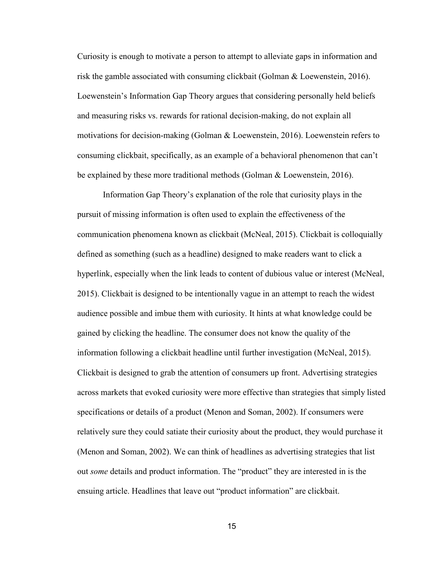Curiosity is enough to motivate a person to attempt to alleviate gaps in information and risk the gamble associated with consuming clickbait (Golman & Loewenstein, 2016). Loewenstein's Information Gap Theory argues that considering personally held beliefs and measuring risks vs. rewards for rational decision-making, do not explain all motivations for decision-making (Golman & Loewenstein, 2016). Loewenstein refers to consuming clickbait, specifically, as an example of a behavioral phenomenon that can't be explained by these more traditional methods (Golman & Loewenstein, 2016).

Information Gap Theory's explanation of the role that curiosity plays in the pursuit of missing information is often used to explain the effectiveness of the communication phenomena known as clickbait (McNeal, 2015). Clickbait is colloquially defined as something (such as a headline) designed to make readers want to click a hyperlink, especially when the link leads to content of dubious value or interest (McNeal, 2015). Clickbait is designed to be intentionally vague in an attempt to reach the widest audience possible and imbue them with curiosity. It hints at what knowledge could be gained by clicking the headline. The consumer does not know the quality of the information following a clickbait headline until further investigation (McNeal, 2015). Clickbait is designed to grab the attention of consumers up front. Advertising strategies across markets that evoked curiosity were more effective than strategies that simply listed specifications or details of a product (Menon and Soman, 2002). If consumers were relatively sure they could satiate their curiosity about the product, they would purchase it (Menon and Soman, 2002). We can think of headlines as advertising strategies that list out *some* details and product information. The "product" they are interested in is the ensuing article. Headlines that leave out "product information" are clickbait.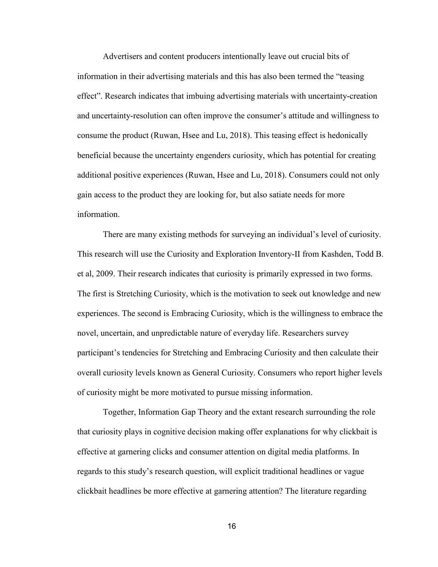Advertisers and content producers intentionally leave out crucial bits of information in their advertising materials and this has also been termed the "teasing effect". Research indicates that imbuing advertising materials with uncertainty-creation and uncertainty-resolution can often improve the consumer's attitude and willingness to consume the product (Ruwan, Hsee and Lu, 2018). This teasing effect is hedonically beneficial because the uncertainty engenders curiosity, which has potential for creating additional positive experiences (Ruwan, Hsee and Lu, 2018). Consumers could not only gain access to the product they are looking for, but also satiate needs for more information.

There are many existing methods for surveying an individual's level of curiosity. This research will use the Curiosity and Exploration Inventory-II from Kashden, Todd B. et al, 2009. Their research indicates that curiosity is primarily expressed in two forms. The first is Stretching Curiosity, which is the motivation to seek out knowledge and new experiences. The second is Embracing Curiosity, which is the willingness to embrace the novel, uncertain, and unpredictable nature of everyday life. Researchers survey participant's tendencies for Stretching and Embracing Curiosity and then calculate their overall curiosity levels known as General Curiosity. Consumers who report higher levels of curiosity might be more motivated to pursue missing information.

Together, Information Gap Theory and the extant research surrounding the role that curiosity plays in cognitive decision making offer explanations for why clickbait is effective at garnering clicks and consumer attention on digital media platforms. In regards to this study's research question, will explicit traditional headlines or vague clickbait headlines be more effective at garnering attention? The literature regarding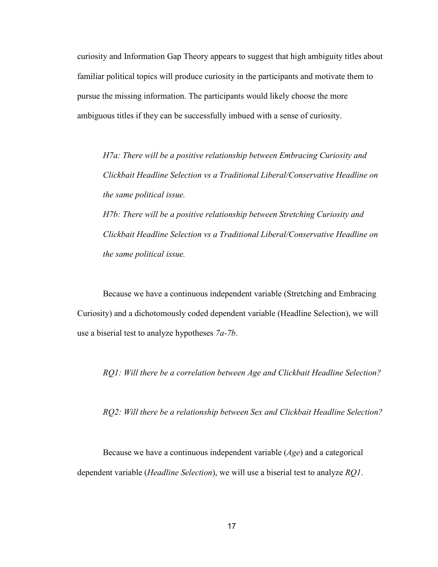curiosity and Information Gap Theory appears to suggest that high ambiguity titles about familiar political topics will produce curiosity in the participants and motivate them to pursue the missing information. The participants would likely choose the more ambiguous titles if they can be successfully imbued with a sense of curiosity.

*H7a: There will be a positive relationship between Embracing Curiosity and Clickbait Headline Selection vs a Traditional Liberal/Conservative Headline on the same political issue.* 

*H7b: There will be a positive relationship between Stretching Curiosity and Clickbait Headline Selection vs a Traditional Liberal/Conservative Headline on the same political issue.* 

Because we have a continuous independent variable (Stretching and Embracing Curiosity) and a dichotomously coded dependent variable (Headline Selection), we will use a biserial test to analyze hypotheses *7a-7b*.

*RQ1: Will there be a correlation between Age and Clickbait Headline Selection?* 

*RQ2: Will there be a relationship between Sex and Clickbait Headline Selection?*

Because we have a continuous independent variable (*Age*) and a categorical dependent variable (*Headline Selection*), we will use a biserial test to analyze *RQ1*.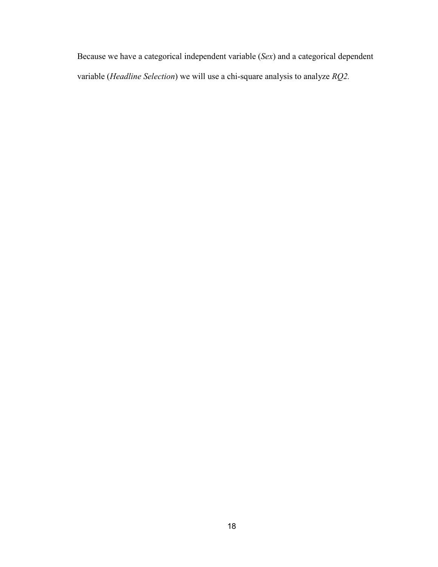Because we have a categorical independent variable (*Sex*) and a categorical dependent variable (*Headline Selection*) we will use a chi-square analysis to analyze *RQ2.*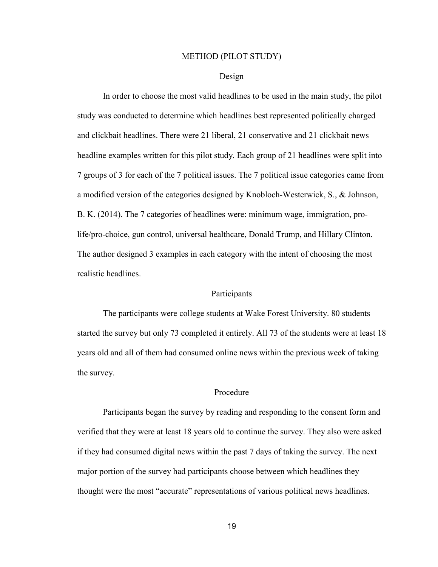### METHOD (PILOT STUDY)

### Design

In order to choose the most valid headlines to be used in the main study, the pilot study was conducted to determine which headlines best represented politically charged and clickbait headlines. There were 21 liberal, 21 conservative and 21 clickbait news headline examples written for this pilot study. Each group of 21 headlines were split into 7 groups of 3 for each of the 7 political issues. The 7 political issue categories came from a modified version of the categories designed by Knobloch-Westerwick, S., & Johnson, B. K. (2014). The 7 categories of headlines were: minimum wage, immigration, prolife/pro-choice, gun control, universal healthcare, Donald Trump, and Hillary Clinton. The author designed 3 examples in each category with the intent of choosing the most realistic headlines.

### **Participants**

The participants were college students at Wake Forest University. 80 students started the survey but only 73 completed it entirely. All 73 of the students were at least 18 years old and all of them had consumed online news within the previous week of taking the survey.

## Procedure

Participants began the survey by reading and responding to the consent form and verified that they were at least 18 years old to continue the survey. They also were asked if they had consumed digital news within the past 7 days of taking the survey. The next major portion of the survey had participants choose between which headlines they thought were the most "accurate" representations of various political news headlines.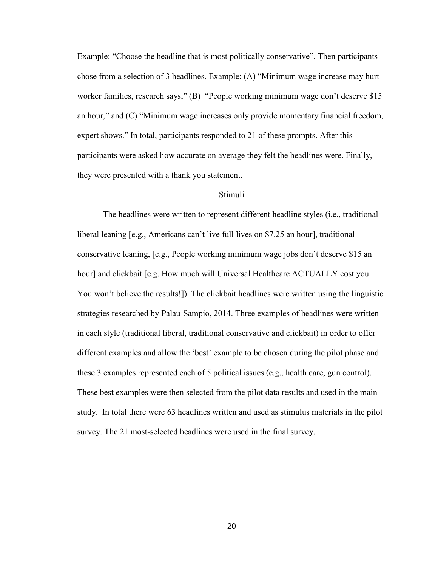Example: "Choose the headline that is most politically conservative". Then participants chose from a selection of 3 headlines. Example: (A) "Minimum wage increase may hurt worker families, research says," (B) "People working minimum wage don't deserve \$15 an hour," and (C) "Minimum wage increases only provide momentary financial freedom, expert shows." In total, participants responded to 21 of these prompts. After this participants were asked how accurate on average they felt the headlines were. Finally, they were presented with a thank you statement.

## Stimuli

The headlines were written to represent different headline styles (i.e., traditional liberal leaning [e.g., Americans can't live full lives on \$7.25 an hour], traditional conservative leaning, [e.g., People working minimum wage jobs don't deserve \$15 an hour] and clickbait [e.g. How much will Universal Healthcare ACTUALLY cost you. You won't believe the results!]). The clickbait headlines were written using the linguistic strategies researched by Palau-Sampio, 2014. Three examples of headlines were written in each style (traditional liberal, traditional conservative and clickbait) in order to offer different examples and allow the 'best' example to be chosen during the pilot phase and these 3 examples represented each of 5 political issues (e.g., health care, gun control). These best examples were then selected from the pilot data results and used in the main study. In total there were 63 headlines written and used as stimulus materials in the pilot survey. The 21 most-selected headlines were used in the final survey.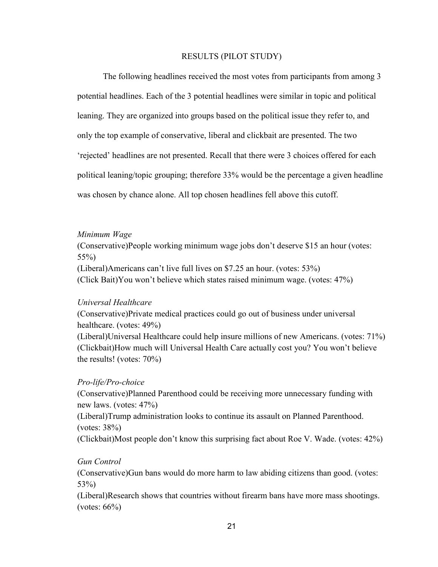## RESULTS (PILOT STUDY)

The following headlines received the most votes from participants from among 3 potential headlines. Each of the 3 potential headlines were similar in topic and political leaning. They are organized into groups based on the political issue they refer to, and only the top example of conservative, liberal and clickbait are presented. The two 'rejected' headlines are not presented. Recall that there were 3 choices offered for each political leaning/topic grouping; therefore 33% would be the percentage a given headline was chosen by chance alone. All top chosen headlines fell above this cutoff.

## *Minimum Wage*

(Conservative)People working minimum wage jobs don't deserve \$15 an hour (votes: 55%) (Liberal)Americans can't live full lives on \$7.25 an hour. (votes: 53%)

(Click Bait)You won't believe which states raised minimum wage. (votes: 47%)

## *Universal Healthcare*

(Conservative)Private medical practices could go out of business under universal healthcare. (votes: 49%) (Liberal)Universal Healthcare could help insure millions of new Americans. (votes: 71%) (Clickbait)How much will Universal Health Care actually cost you? You won't believe the results! (votes: 70%)

## *Pro-life/Pro-choice*

(Conservative)Planned Parenthood could be receiving more unnecessary funding with new laws. (votes: 47%) (Liberal)Trump administration looks to continue its assault on Planned Parenthood. (votes: 38%) (Clickbait)Most people don't know this surprising fact about Roe V. Wade. (votes: 42%)

## *Gun Control*

(Conservative)Gun bans would do more harm to law abiding citizens than good. (votes: 53%)

(Liberal)Research shows that countries without firearm bans have more mass shootings.  $(votes: 66\%)$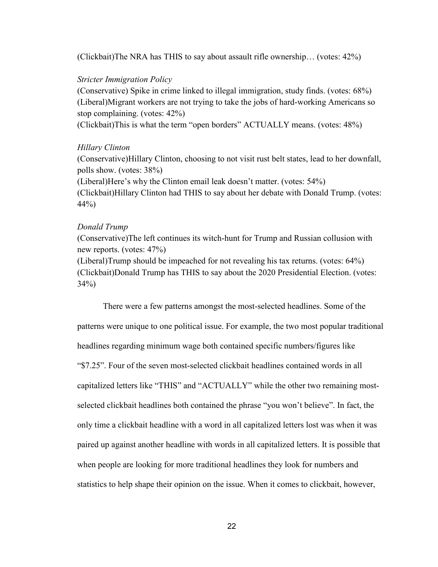(Clickbait)The NRA has THIS to say about assault rifle ownership… (votes: 42%)

### *Stricter Immigration Policy*

(Conservative) Spike in crime linked to illegal immigration, study finds. (votes: 68%) (Liberal)Migrant workers are not trying to take the jobs of hard-working Americans so stop complaining. (votes: 42%)

(Clickbait)This is what the term "open borders" ACTUALLY means. (votes: 48%)

#### *Hillary Clinton*

(Conservative)Hillary Clinton, choosing to not visit rust belt states, lead to her downfall, polls show. (votes: 38%) (Liberal)Here's why the Clinton email leak doesn't matter. (votes: 54%) (Clickbait)Hillary Clinton had THIS to say about her debate with Donald Trump. (votes: 44%)

#### *Donald Trump*

(Conservative)The left continues its witch-hunt for Trump and Russian collusion with new reports. (votes: 47%)

(Liberal)Trump should be impeached for not revealing his tax returns. (votes: 64%) (Clickbait)Donald Trump has THIS to say about the 2020 Presidential Election. (votes: 34%)

There were a few patterns amongst the most-selected headlines. Some of the patterns were unique to one political issue. For example, the two most popular traditional headlines regarding minimum wage both contained specific numbers/figures like "\$7.25". Four of the seven most-selected clickbait headlines contained words in all capitalized letters like "THIS" and "ACTUALLY" while the other two remaining mostselected clickbait headlines both contained the phrase "you won't believe". In fact, the only time a clickbait headline with a word in all capitalized letters lost was when it was paired up against another headline with words in all capitalized letters. It is possible that when people are looking for more traditional headlines they look for numbers and statistics to help shape their opinion on the issue. When it comes to clickbait, however,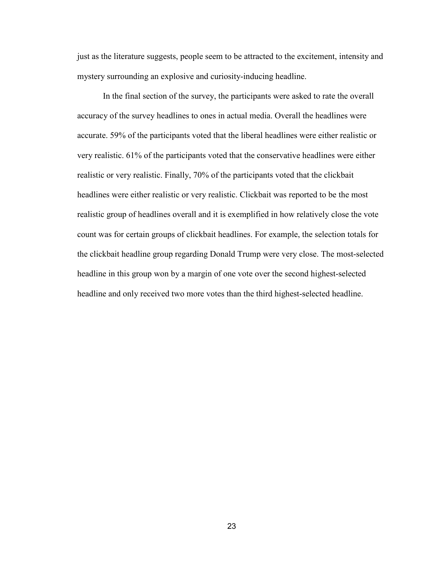just as the literature suggests, people seem to be attracted to the excitement, intensity and mystery surrounding an explosive and curiosity-inducing headline.

In the final section of the survey, the participants were asked to rate the overall accuracy of the survey headlines to ones in actual media. Overall the headlines were accurate. 59% of the participants voted that the liberal headlines were either realistic or very realistic. 61% of the participants voted that the conservative headlines were either realistic or very realistic. Finally, 70% of the participants voted that the clickbait headlines were either realistic or very realistic. Clickbait was reported to be the most realistic group of headlines overall and it is exemplified in how relatively close the vote count was for certain groups of clickbait headlines. For example, the selection totals for the clickbait headline group regarding Donald Trump were very close. The most-selected headline in this group won by a margin of one vote over the second highest-selected headline and only received two more votes than the third highest-selected headline.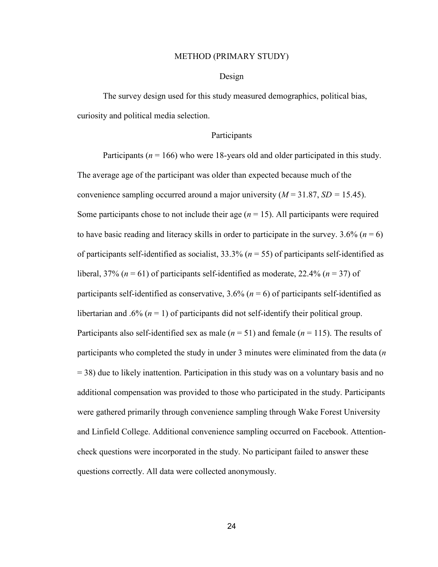#### METHOD (PRIMARY STUDY)

### Design

The survey design used for this study measured demographics, political bias, curiosity and political media selection.

## Participants

Participants ( $n = 166$ ) who were 18-years old and older participated in this study. The average age of the participant was older than expected because much of the convenience sampling occurred around a major university  $(M = 31.87, SD = 15.45)$ . Some participants chose to not include their age  $(n = 15)$ . All participants were required to have basic reading and literacy skills in order to participate in the survey.  $3.6\%$  ( $n = 6$ ) of participants self-identified as socialist, 33.3% (*n* = 55) of participants self-identified as liberal,  $37\%$  ( $n = 61$ ) of participants self-identified as moderate,  $22.4\%$  ( $n = 37$ ) of participants self-identified as conservative,  $3.6\%$  ( $n = 6$ ) of participants self-identified as libertarian and .6%  $(n = 1)$  of participants did not self-identify their political group. Participants also self-identified sex as male (*n* = 51) and female (*n* = 115). The results of participants who completed the study in under 3 minutes were eliminated from the data (*n*  = 38) due to likely inattention. Participation in this study was on a voluntary basis and no additional compensation was provided to those who participated in the study. Participants were gathered primarily through convenience sampling through Wake Forest University and Linfield College. Additional convenience sampling occurred on Facebook. Attentioncheck questions were incorporated in the study. No participant failed to answer these questions correctly. All data were collected anonymously.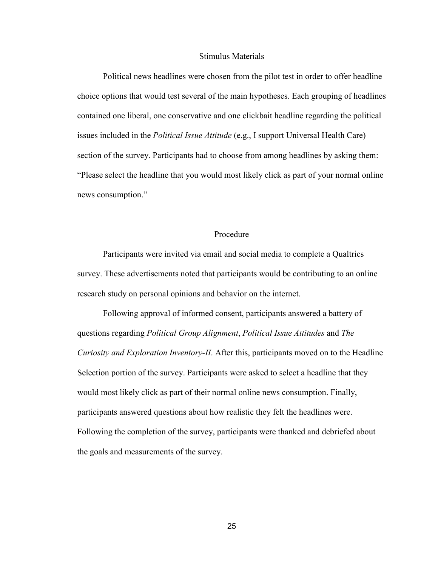#### Stimulus Materials

Political news headlines were chosen from the pilot test in order to offer headline choice options that would test several of the main hypotheses. Each grouping of headlines contained one liberal, one conservative and one clickbait headline regarding the political issues included in the *Political Issue Attitude* (e.g., I support Universal Health Care) section of the survey. Participants had to choose from among headlines by asking them: "Please select the headline that you would most likely click as part of your normal online news consumption."

### Procedure

Participants were invited via email and social media to complete a Qualtrics survey. These advertisements noted that participants would be contributing to an online research study on personal opinions and behavior on the internet.

Following approval of informed consent, participants answered a battery of questions regarding *Political Group Alignment*, *Political Issue Attitudes* and *The Curiosity and Exploration Inventory-II*. After this, participants moved on to the Headline Selection portion of the survey. Participants were asked to select a headline that they would most likely click as part of their normal online news consumption. Finally, participants answered questions about how realistic they felt the headlines were. Following the completion of the survey, participants were thanked and debriefed about the goals and measurements of the survey.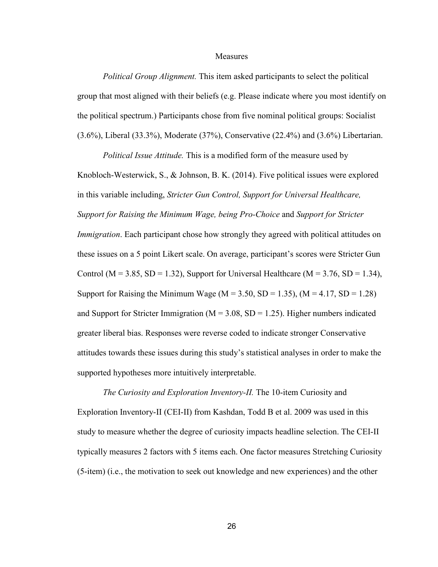#### **Measures**

*Political Group Alignment.* This item asked participants to select the political group that most aligned with their beliefs (e.g. Please indicate where you most identify on the political spectrum.) Participants chose from five nominal political groups: Socialist (3.6%), Liberal (33.3%), Moderate (37%), Conservative (22.4%) and (3.6%) Libertarian.

*Political Issue Attitude.* This is a modified form of the measure used by Knobloch-Westerwick, S., & Johnson, B. K. (2014). Five political issues were explored in this variable including, *Stricter Gun Control, Support for Universal Healthcare, Support for Raising the Minimum Wage, being Pro-Choice* and *Support for Stricter Immigration*. Each participant chose how strongly they agreed with political attitudes on these issues on a 5 point Likert scale. On average, participant's scores were Stricter Gun Control ( $M = 3.85$ ,  $SD = 1.32$ ), Support for Universal Healthcare ( $M = 3.76$ ,  $SD = 1.34$ ), Support for Raising the Minimum Wage ( $M = 3.50$ ,  $SD = 1.35$ ), ( $M = 4.17$ ,  $SD = 1.28$ ) and Support for Stricter Immigration ( $M = 3.08$ , SD = 1.25). Higher numbers indicated greater liberal bias. Responses were reverse coded to indicate stronger Conservative attitudes towards these issues during this study's statistical analyses in order to make the supported hypotheses more intuitively interpretable.

*The Curiosity and Exploration Inventory-II.* The 10-item Curiosity and Exploration Inventory-II (CEI-II) from Kashdan, Todd B et al. 2009 was used in this study to measure whether the degree of curiosity impacts headline selection. The CEI-II typically measures 2 factors with 5 items each. One factor measures Stretching Curiosity (5-item) (i.e., the motivation to seek out knowledge and new experiences) and the other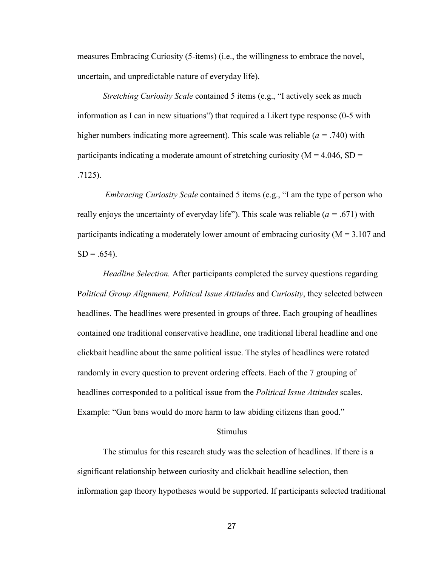measures Embracing Curiosity (5-items) (i.e., the willingness to embrace the novel, uncertain, and unpredictable nature of everyday life).

*Stretching Curiosity Scale* contained 5 items (e.g., "I actively seek as much information as I can in new situations") that required a Likert type response (0-5 with higher numbers indicating more agreement). This scale was reliable (*a =* .740) with participants indicating a moderate amount of stretching curiosity ( $M = 4.046$ , SD = .7125).

*Embracing Curiosity Scale* contained 5 items (e.g., "I am the type of person who really enjoys the uncertainty of everyday life"). This scale was reliable (*a =* .671) with participants indicating a moderately lower amount of embracing curiosity ( $M = 3.107$  and  $SD = .654$ ).

*Headline Selection.* After participants completed the survey questions regarding P*olitical Group Alignment, Political Issue Attitudes* and *Curiosity*, they selected between headlines. The headlines were presented in groups of three. Each grouping of headlines contained one traditional conservative headline, one traditional liberal headline and one clickbait headline about the same political issue. The styles of headlines were rotated randomly in every question to prevent ordering effects. Each of the 7 grouping of headlines corresponded to a political issue from the *Political Issue Attitudes* scales. Example: "Gun bans would do more harm to law abiding citizens than good."

## Stimulus

The stimulus for this research study was the selection of headlines. If there is a significant relationship between curiosity and clickbait headline selection, then information gap theory hypotheses would be supported. If participants selected traditional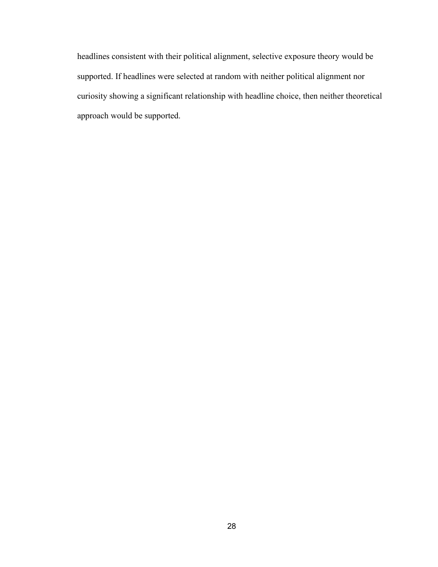headlines consistent with their political alignment, selective exposure theory would be supported. If headlines were selected at random with neither political alignment nor curiosity showing a significant relationship with headline choice, then neither theoretical approach would be supported.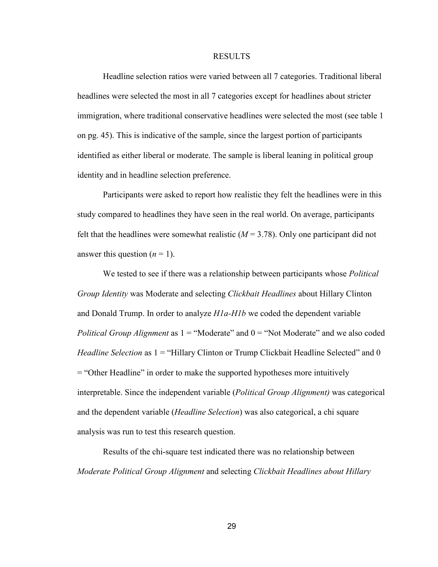#### RESULTS

 Headline selection ratios were varied between all 7 categories. Traditional liberal headlines were selected the most in all 7 categories except for headlines about stricter immigration, where traditional conservative headlines were selected the most (see table 1 on pg. 45). This is indicative of the sample, since the largest portion of participants identified as either liberal or moderate. The sample is liberal leaning in political group identity and in headline selection preference.

Participants were asked to report how realistic they felt the headlines were in this study compared to headlines they have seen in the real world. On average, participants felt that the headlines were somewhat realistic  $(M = 3.78)$ . Only one participant did not answer this question  $(n = 1)$ .

We tested to see if there was a relationship between participants whose *Political Group Identity* was Moderate and selecting *Clickbait Headlines* about Hillary Clinton and Donald Trump. In order to analyze *H1a-H1b* we coded the dependent variable *Political Group Alignment* as  $1 =$  "Moderate" and  $0 =$  "Not Moderate" and we also coded *Headline Selection* as  $1 =$  "Hillary Clinton or Trump Clickbait Headline Selected" and 0 = "Other Headline" in order to make the supported hypotheses more intuitively interpretable. Since the independent variable (*Political Group Alignment)* was categorical and the dependent variable (*Headline Selection*) was also categorical, a chi square analysis was run to test this research question.

Results of the chi-square test indicated there was no relationship between *Moderate Political Group Alignment* and selecting *Clickbait Headlines about Hillary*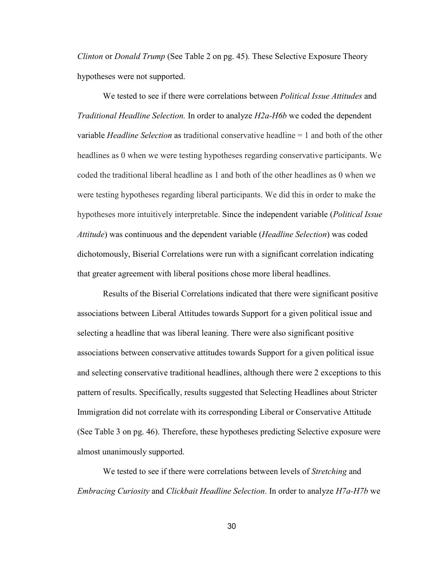*Clinton* or *Donald Trump* (See Table 2 on pg. 45)*.* These Selective Exposure Theory hypotheses were not supported.

We tested to see if there were correlations between *Political Issue Attitudes* and *Traditional Headline Selection.* In order to analyze *H2a-H6b* we coded the dependent variable *Headline Selection* as traditional conservative headline = 1 and both of the other headlines as 0 when we were testing hypotheses regarding conservative participants. We coded the traditional liberal headline as 1 and both of the other headlines as 0 when we were testing hypotheses regarding liberal participants. We did this in order to make the hypotheses more intuitively interpretable. Since the independent variable (*Political Issue Attitude*) was continuous and the dependent variable (*Headline Selection*) was coded dichotomously, Biserial Correlations were run with a significant correlation indicating that greater agreement with liberal positions chose more liberal headlines.

Results of the Biserial Correlations indicated that there were significant positive associations between Liberal Attitudes towards Support for a given political issue and selecting a headline that was liberal leaning. There were also significant positive associations between conservative attitudes towards Support for a given political issue and selecting conservative traditional headlines, although there were 2 exceptions to this pattern of results. Specifically, results suggested that Selecting Headlines about Stricter Immigration did not correlate with its corresponding Liberal or Conservative Attitude (See Table 3 on pg. 46). Therefore, these hypotheses predicting Selective exposure were almost unanimously supported.

We tested to see if there were correlations between levels of *Stretching* and *Embracing Curiosity* and *Clickbait Headline Selection*. In order to analyze *H7a-H7b* we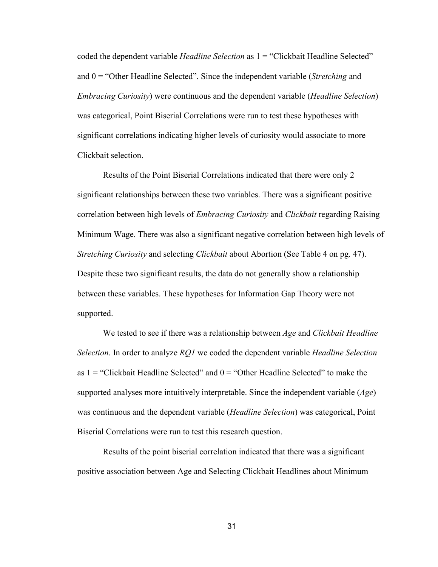coded the dependent variable *Headline Selection* as 1 = "Clickbait Headline Selected" and 0 = "Other Headline Selected". Since the independent variable (*Stretching* and *Embracing Curiosity*) were continuous and the dependent variable (*Headline Selection*) was categorical, Point Biserial Correlations were run to test these hypotheses with significant correlations indicating higher levels of curiosity would associate to more Clickbait selection.

Results of the Point Biserial Correlations indicated that there were only 2 significant relationships between these two variables. There was a significant positive correlation between high levels of *Embracing Curiosity* and *Clickbait* regarding Raising Minimum Wage. There was also a significant negative correlation between high levels of *Stretching Curiosity* and selecting *Clickbait* about Abortion (See Table 4 on pg. 47). Despite these two significant results, the data do not generally show a relationship between these variables. These hypotheses for Information Gap Theory were not supported.

We tested to see if there was a relationship between *Age* and *Clickbait Headline Selection*. In order to analyze *RQ1* we coded the dependent variable *Headline Selection* as  $1 =$  "Clickbait Headline Selected" and  $0 =$  "Other Headline Selected" to make the supported analyses more intuitively interpretable. Since the independent variable (*Age*) was continuous and the dependent variable (*Headline Selection*) was categorical, Point Biserial Correlations were run to test this research question.

Results of the point biserial correlation indicated that there was a significant positive association between Age and Selecting Clickbait Headlines about Minimum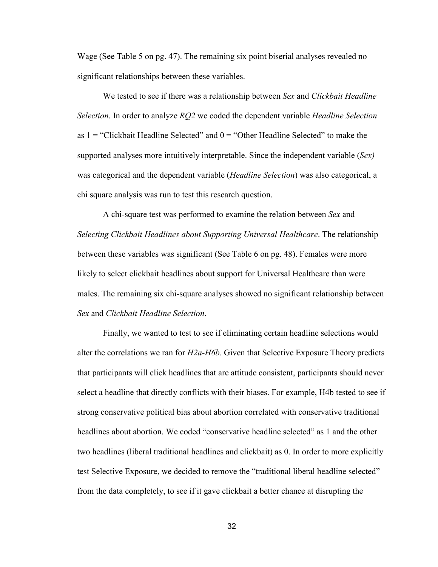Wage (See Table 5 on pg. 47). The remaining six point biserial analyses revealed no significant relationships between these variables.

We tested to see if there was a relationship between *Sex* and *Clickbait Headline Selection*. In order to analyze *RQ2* we coded the dependent variable *Headline Selection* as  $1 =$  "Clickbait Headline Selected" and  $0 =$  "Other Headline Selected" to make the supported analyses more intuitively interpretable. Since the independent variable (*Sex)* was categorical and the dependent variable (*Headline Selection*) was also categorical, a chi square analysis was run to test this research question.

A chi-square test was performed to examine the relation between *Sex* and *Selecting Clickbait Headlines about Supporting Universal Healthcare*. The relationship between these variables was significant (See Table 6 on pg. 48). Females were more likely to select clickbait headlines about support for Universal Healthcare than were males. The remaining six chi-square analyses showed no significant relationship between *Sex* and *Clickbait Headline Selection*.

Finally, we wanted to test to see if eliminating certain headline selections would alter the correlations we ran for *H2a-H6b.* Given that Selective Exposure Theory predicts that participants will click headlines that are attitude consistent, participants should never select a headline that directly conflicts with their biases. For example, H4b tested to see if strong conservative political bias about abortion correlated with conservative traditional headlines about abortion. We coded "conservative headline selected" as 1 and the other two headlines (liberal traditional headlines and clickbait) as 0. In order to more explicitly test Selective Exposure, we decided to remove the "traditional liberal headline selected" from the data completely, to see if it gave clickbait a better chance at disrupting the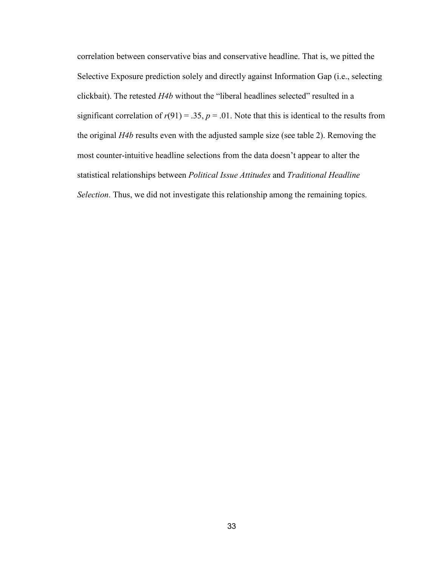correlation between conservative bias and conservative headline. That is, we pitted the Selective Exposure prediction solely and directly against Information Gap (i.e., selecting clickbait). The retested *H4b* without the "liberal headlines selected" resulted in a significant correlation of  $r(91) = .35$ ,  $p = .01$ . Note that this is identical to the results from the original *H4b* results even with the adjusted sample size (see table 2). Removing the most counter-intuitive headline selections from the data doesn't appear to alter the statistical relationships between *Political Issue Attitudes* and *Traditional Headline Selection*. Thus, we did not investigate this relationship among the remaining topics.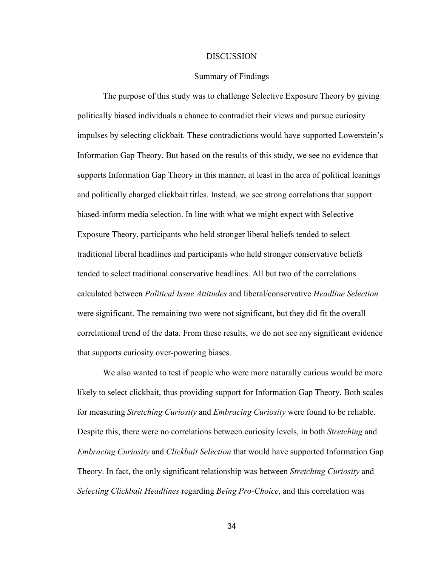#### **DISCUSSION**

### Summary of Findings

The purpose of this study was to challenge Selective Exposure Theory by giving politically biased individuals a chance to contradict their views and pursue curiosity impulses by selecting clickbait. These contradictions would have supported Lowerstein's Information Gap Theory. But based on the results of this study, we see no evidence that supports Information Gap Theory in this manner, at least in the area of political leanings and politically charged clickbait titles. Instead, we see strong correlations that support biased-inform media selection. In line with what we might expect with Selective Exposure Theory, participants who held stronger liberal beliefs tended to select traditional liberal headlines and participants who held stronger conservative beliefs tended to select traditional conservative headlines. All but two of the correlations calculated between *Political Issue Attitudes* and liberal/conservative *Headline Selection* were significant. The remaining two were not significant, but they did fit the overall correlational trend of the data. From these results, we do not see any significant evidence that supports curiosity over-powering biases.

We also wanted to test if people who were more naturally curious would be more likely to select clickbait, thus providing support for Information Gap Theory. Both scales for measuring *Stretching Curiosity* and *Embracing Curiosity* were found to be reliable. Despite this, there were no correlations between curiosity levels, in both *Stretching* and *Embracing Curiosity* and *Clickbait Selection* that would have supported Information Gap Theory. In fact, the only significant relationship was between *Stretching Curiosity* and *Selecting Clickbait Headlines* regarding *Being Pro-Choice*, and this correlation was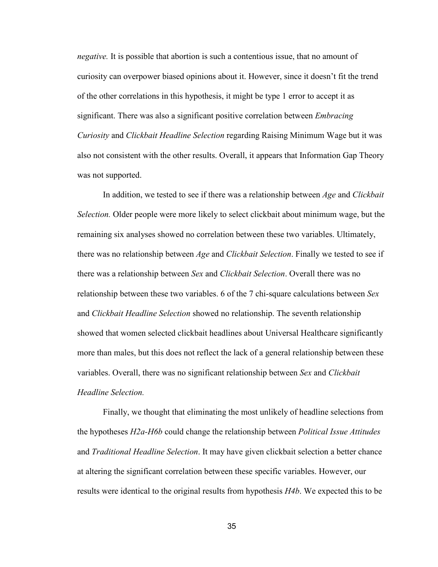*negative.* It is possible that abortion is such a contentious issue, that no amount of curiosity can overpower biased opinions about it. However, since it doesn't fit the trend of the other correlations in this hypothesis, it might be type 1 error to accept it as significant. There was also a significant positive correlation between *Embracing Curiosity* and *Clickbait Headline Selection* regarding Raising Minimum Wage but it was also not consistent with the other results. Overall, it appears that Information Gap Theory was not supported.

In addition, we tested to see if there was a relationship between *Age* and *Clickbait Selection.* Older people were more likely to select clickbait about minimum wage, but the remaining six analyses showed no correlation between these two variables. Ultimately, there was no relationship between *Age* and *Clickbait Selection*. Finally we tested to see if there was a relationship between *Sex* and *Clickbait Selection*. Overall there was no relationship between these two variables. 6 of the 7 chi-square calculations between *Sex* and *Clickbait Headline Selection* showed no relationship. The seventh relationship showed that women selected clickbait headlines about Universal Healthcare significantly more than males, but this does not reflect the lack of a general relationship between these variables. Overall, there was no significant relationship between *Sex* and *Clickbait Headline Selection.* 

Finally, we thought that eliminating the most unlikely of headline selections from the hypotheses *H2a-H6b* could change the relationship between *Political Issue Attitudes* and *Traditional Headline Selection*. It may have given clickbait selection a better chance at altering the significant correlation between these specific variables. However, our results were identical to the original results from hypothesis *H4b*. We expected this to be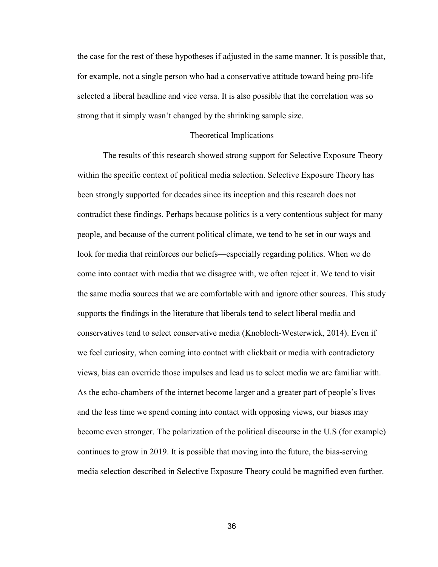the case for the rest of these hypotheses if adjusted in the same manner. It is possible that, for example, not a single person who had a conservative attitude toward being pro-life selected a liberal headline and vice versa. It is also possible that the correlation was so strong that it simply wasn't changed by the shrinking sample size.

#### Theoretical Implications

 The results of this research showed strong support for Selective Exposure Theory within the specific context of political media selection. Selective Exposure Theory has been strongly supported for decades since its inception and this research does not contradict these findings. Perhaps because politics is a very contentious subject for many people, and because of the current political climate, we tend to be set in our ways and look for media that reinforces our beliefs—especially regarding politics. When we do come into contact with media that we disagree with, we often reject it. We tend to visit the same media sources that we are comfortable with and ignore other sources. This study supports the findings in the literature that liberals tend to select liberal media and conservatives tend to select conservative media (Knobloch-Westerwick, 2014). Even if we feel curiosity, when coming into contact with clickbait or media with contradictory views, bias can override those impulses and lead us to select media we are familiar with. As the echo-chambers of the internet become larger and a greater part of people's lives and the less time we spend coming into contact with opposing views, our biases may become even stronger. The polarization of the political discourse in the U.S (for example) continues to grow in 2019. It is possible that moving into the future, the bias-serving media selection described in Selective Exposure Theory could be magnified even further.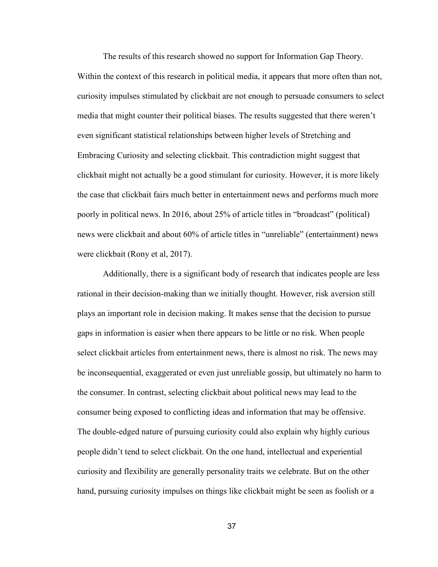The results of this research showed no support for Information Gap Theory. Within the context of this research in political media, it appears that more often than not, curiosity impulses stimulated by clickbait are not enough to persuade consumers to select media that might counter their political biases. The results suggested that there weren't even significant statistical relationships between higher levels of Stretching and Embracing Curiosity and selecting clickbait. This contradiction might suggest that clickbait might not actually be a good stimulant for curiosity. However, it is more likely the case that clickbait fairs much better in entertainment news and performs much more poorly in political news. In 2016, about 25% of article titles in "broadcast" (political) news were clickbait and about 60% of article titles in "unreliable" (entertainment) news were clickbait (Rony et al, 2017).

Additionally, there is a significant body of research that indicates people are less rational in their decision-making than we initially thought. However, risk aversion still plays an important role in decision making. It makes sense that the decision to pursue gaps in information is easier when there appears to be little or no risk. When people select clickbait articles from entertainment news, there is almost no risk. The news may be inconsequential, exaggerated or even just unreliable gossip, but ultimately no harm to the consumer. In contrast, selecting clickbait about political news may lead to the consumer being exposed to conflicting ideas and information that may be offensive. The double-edged nature of pursuing curiosity could also explain why highly curious people didn't tend to select clickbait. On the one hand, intellectual and experiential curiosity and flexibility are generally personality traits we celebrate. But on the other hand, pursuing curiosity impulses on things like clickbait might be seen as foolish or a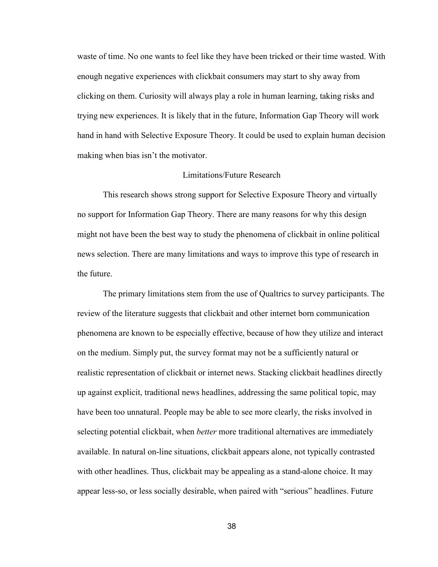waste of time. No one wants to feel like they have been tricked or their time wasted. With enough negative experiences with clickbait consumers may start to shy away from clicking on them. Curiosity will always play a role in human learning, taking risks and trying new experiences. It is likely that in the future, Information Gap Theory will work hand in hand with Selective Exposure Theory. It could be used to explain human decision making when bias isn't the motivator.

## Limitations/Future Research

This research shows strong support for Selective Exposure Theory and virtually no support for Information Gap Theory. There are many reasons for why this design might not have been the best way to study the phenomena of clickbait in online political news selection. There are many limitations and ways to improve this type of research in the future.

The primary limitations stem from the use of Qualtrics to survey participants. The review of the literature suggests that clickbait and other internet born communication phenomena are known to be especially effective, because of how they utilize and interact on the medium. Simply put, the survey format may not be a sufficiently natural or realistic representation of clickbait or internet news. Stacking clickbait headlines directly up against explicit, traditional news headlines, addressing the same political topic, may have been too unnatural. People may be able to see more clearly, the risks involved in selecting potential clickbait, when *better* more traditional alternatives are immediately available. In natural on-line situations, clickbait appears alone, not typically contrasted with other headlines. Thus, clickbait may be appealing as a stand-alone choice. It may appear less-so, or less socially desirable, when paired with "serious" headlines. Future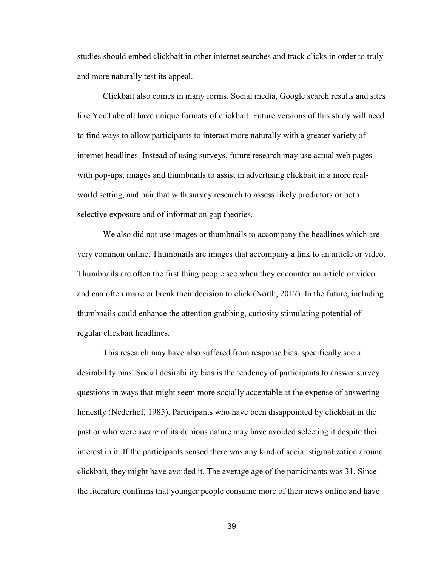studies should embed clickbait in other internet searches and track clicks in order to truly and more naturally test its appeal.

Clickbait also comes in many forms. Social media, Google search results and sites like YouTube all have unique formats of clickbait. Future versions of this study will need to find ways to allow participants to interact more naturally with a greater variety of internet headlines. Instead of using surveys, future research may use actual web pages with pop-ups, images and thumbnails to assist in advertising clickbait in a more realworld setting, and pair that with survey research to assess likely predictors or both selective exposure and of information gap theories.

We also did not use images or thumbnails to accompany the headlines which are very common online. Thumbnails are images that accompany a link to an article or video. Thumbnails are often the first thing people see when they encounter an article or video and can often make or break their decision to click (North, 2017). In the future, including thumbnails could enhance the attention grabbing, curiosity stimulating potential of regular clickbait headlines.

 This research may have also suffered from response bias, specifically social desirability bias. Social desirability bias is the tendency of participants to answer survey questions in ways that might seem more socially acceptable at the expense of answering honestly (Nederhof, 1985). Participants who have been disappointed by clickbait in the past or who were aware of its dubious nature may have avoided selecting it despite their interest in it. If the participants sensed there was any kind of social stigmatization around clickbait, they might have avoided it. The average age of the participants was 31. Since the literature confirms that younger people consume more of their news online and have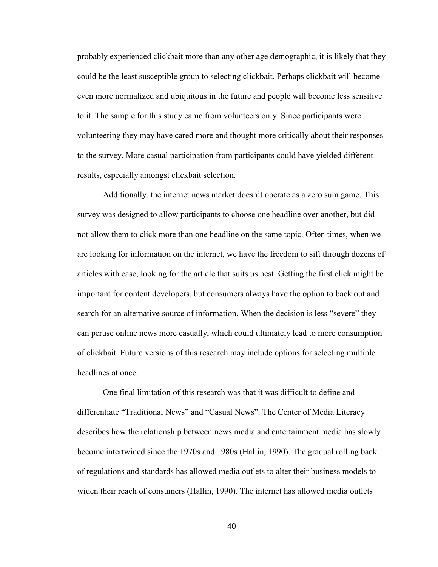probably experienced clickbait more than any other age demographic, it is likely that they could be the least susceptible group to selecting clickbait. Perhaps clickbait will become even more normalized and ubiquitous in the future and people will become less sensitive to it. The sample for this study came from volunteers only. Since participants were volunteering they may have cared more and thought more critically about their responses to the survey. More casual participation from participants could have yielded different results, especially amongst clickbait selection.

Additionally, the internet news market doesn't operate as a zero sum game. This survey was designed to allow participants to choose one headline over another, but did not allow them to click more than one headline on the same topic. Often times, when we are looking for information on the internet, we have the freedom to sift through dozens of articles with ease, looking for the article that suits us best. Getting the first click might be important for content developers, but consumers always have the option to back out and search for an alternative source of information. When the decision is less "severe" they can peruse online news more casually, which could ultimately lead to more consumption of clickbait. Future versions of this research may include options for selecting multiple headlines at once.

 One final limitation of this research was that it was difficult to define and differentiate "Traditional News" and "Casual News". The Center of Media Literacy describes how the relationship between news media and entertainment media has slowly become intertwined since the 1970s and 1980s (Hallin, 1990). The gradual rolling back of regulations and standards has allowed media outlets to alter their business models to widen their reach of consumers (Hallin, 1990). The internet has allowed media outlets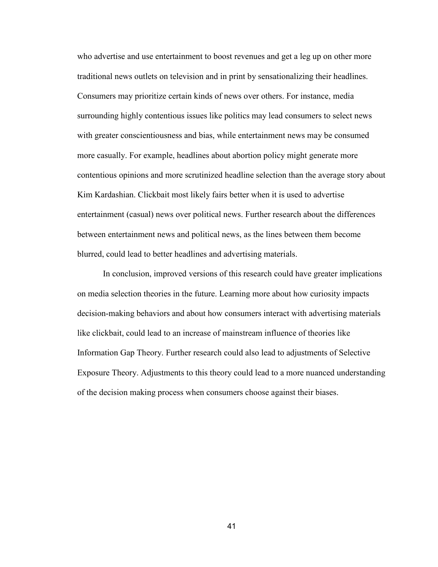who advertise and use entertainment to boost revenues and get a leg up on other more traditional news outlets on television and in print by sensationalizing their headlines. Consumers may prioritize certain kinds of news over others. For instance, media surrounding highly contentious issues like politics may lead consumers to select news with greater conscientiousness and bias, while entertainment news may be consumed more casually. For example, headlines about abortion policy might generate more contentious opinions and more scrutinized headline selection than the average story about Kim Kardashian. Clickbait most likely fairs better when it is used to advertise entertainment (casual) news over political news. Further research about the differences between entertainment news and political news, as the lines between them become blurred, could lead to better headlines and advertising materials.

In conclusion, improved versions of this research could have greater implications on media selection theories in the future. Learning more about how curiosity impacts decision-making behaviors and about how consumers interact with advertising materials like clickbait, could lead to an increase of mainstream influence of theories like Information Gap Theory. Further research could also lead to adjustments of Selective Exposure Theory. Adjustments to this theory could lead to a more nuanced understanding of the decision making process when consumers choose against their biases.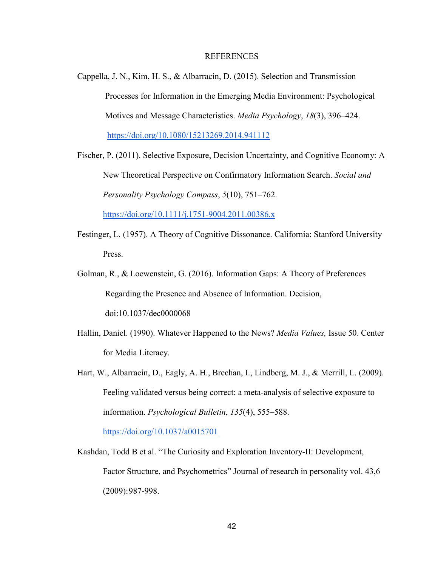#### REFERENCES

- Cappella, J. N., Kim, H. S., & Albarracín, D. (2015). Selection and Transmission Processes for Information in the Emerging Media Environment: Psychological Motives and Message Characteristics. *Media Psychology*, *18*(3), 396–424. https://doi.org/10.1080/15213269.2014.941112
- Fischer, P. (2011). Selective Exposure, Decision Uncertainty, and Cognitive Economy: A New Theoretical Perspective on Confirmatory Information Search. *Social and Personality Psychology Compass*, *5*(10), 751–762. https://doi.org/10.1111/j.1751-9004.2011.00386.x
- Festinger, L. (1957). A Theory of Cognitive Dissonance. California: Stanford University Press.
- Golman, R., & Loewenstein, G. (2016). Information Gaps: A Theory of Preferences Regarding the Presence and Absence of Information. Decision, doi:10.1037/dec0000068
- Hallin, Daniel. (1990). Whatever Happened to the News? *Media Values,* Issue 50. Center for Media Literacy.
- Hart, W., Albarracín, D., Eagly, A. H., Brechan, I., Lindberg, M. J., & Merrill, L. (2009). Feeling validated versus being correct: a meta-analysis of selective exposure to information. *Psychological Bulletin*, *135*(4), 555–588.

https://doi.org/10.1037/a0015701

Kashdan, Todd B et al. "The Curiosity and Exploration Inventory-II: Development, Factor Structure, and Psychometrics" Journal of research in personality vol. 43,6 (2009): 987-998.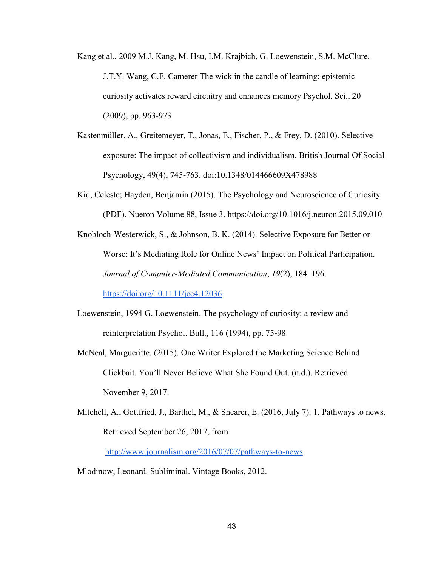- Kang et al., 2009 M.J. Kang, M. Hsu, I.M. Krajbich, G. Loewenstein, S.M. McClure, J.T.Y. Wang, C.F. Camerer The wick in the candle of learning: epistemic curiosity activates reward circuitry and enhances memory Psychol. Sci., 20 (2009), pp. 963-973
- Kastenmüller, A., Greitemeyer, T., Jonas, E., Fischer, P., & Frey, D. (2010). Selective exposure: The impact of collectivism and individualism. British Journal Of Social Psychology, 49(4), 745-763. doi:10.1348/014466609X478988
- Kid, Celeste; Hayden, Benjamin (2015). The Psychology and Neuroscience of Curiosity (PDF). Nueron Volume 88, Issue 3. https://doi.org/10.1016/j.neuron.2015.09.010
- Knobloch-Westerwick, S., & Johnson, B. K. (2014). Selective Exposure for Better or Worse: It's Mediating Role for Online News' Impact on Political Participation. *Journal of Computer-Mediated Communication*, *19*(2), 184–196.

https://doi.org/10.1111/jcc4.12036

- Loewenstein, 1994 G. Loewenstein. The psychology of curiosity: a review and reinterpretation Psychol. Bull., 116 (1994), pp. 75-98
- McNeal, Margueritte. (2015). One Writer Explored the Marketing Science Behind Clickbait. You'll Never Believe What She Found Out. (n.d.). Retrieved November 9, 2017.
- Mitchell, A., Gottfried, J., Barthel, M., & Shearer, E. (2016, July 7). 1. Pathways to news. Retrieved September 26, 2017, from

http://www.journalism.org/2016/07/07/pathways-to-news

Mlodinow, Leonard. Subliminal. Vintage Books, 2012.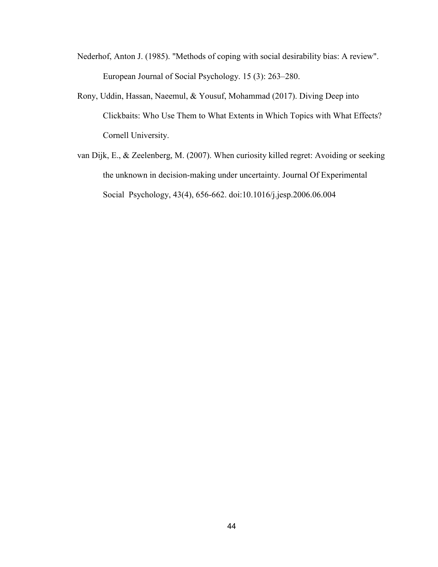- Nederhof, Anton J. (1985). "Methods of coping with social desirability bias: A review". European Journal of Social Psychology. 15 (3): 263–280.
- Rony, Uddin, Hassan, Naeemul, & Yousuf, Mohammad (2017). Diving Deep into Clickbaits: Who Use Them to What Extents in Which Topics with What Effects? Cornell University.
- van Dijk, E., & Zeelenberg, M. (2007). When curiosity killed regret: Avoiding or seeking the unknown in decision-making under uncertainty. Journal Of Experimental Social Psychology, 43(4), 656-662. doi:10.1016/j.jesp.2006.06.004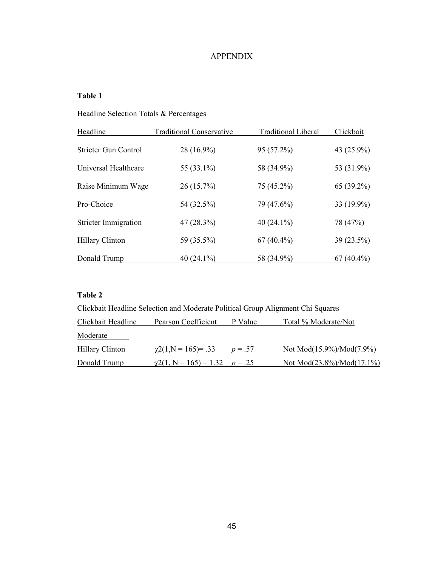# APPENDIX

## **Table 1**

# Headline Selection Totals & Percentages

| Headline                    | <b>Traditional Conservative</b> | <b>Traditional Liberal</b> | Clickbait    |
|-----------------------------|---------------------------------|----------------------------|--------------|
| <b>Stricter Gun Control</b> | 28 (16.9%)                      | 95 (57.2%)                 | 43 (25.9%)   |
| Universal Healthcare        | 55 (33.1%)                      | 58 (34.9%)                 | 53 (31.9%)   |
| Raise Minimum Wage          | $26(15.7\%)$                    | 75 (45.2%)                 | $65(39.2\%)$ |
| Pro-Choice                  | 54 (32.5%)                      | 79 (47.6%)                 | 33 (19.9%)   |
| <b>Stricter Immigration</b> | $47(28.3\%)$                    | 40 $(24.1\%)$              | 78 (47%)     |
| <b>Hillary Clinton</b>      | 59 (35.5%)                      | $67(40.4\%)$               | 39(23.5%)    |
| Donald Trump                | 40 $(24.1\%)$                   | 58 (34.9%)                 | $67(40.4\%)$ |

# **Table 2**

| Clickbait Headline Selection and Moderate Political Group Alignment Chi Squares |                                         |           |                                |
|---------------------------------------------------------------------------------|-----------------------------------------|-----------|--------------------------------|
| Clickbait Headline                                                              | Pearson Coefficient                     | P Value   | Total % Moderate/Not           |
| Moderate                                                                        |                                         |           |                                |
| <b>Hillary Clinton</b>                                                          | $\chi$ 2(1,N = 165)= .33                | $p = .57$ | Not Mod(15.9%)/Mod(7.9%)       |
| Donald Trump                                                                    | $\gamma$ 2(1, N = 165) = 1.32 $p = .25$ |           | Not Mod $(23.8\%)/Mod(17.1\%)$ |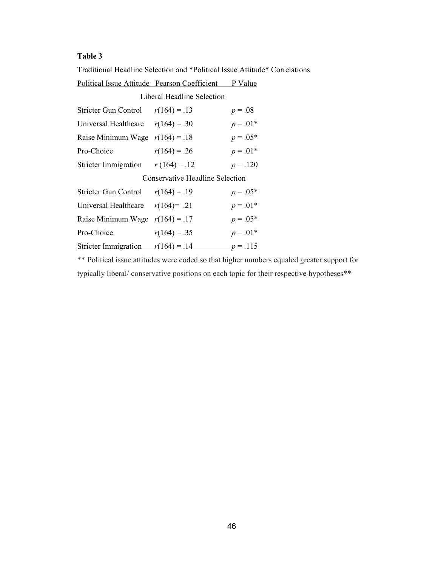## **Table 3**

Traditional Headline Selection and \*Political Issue Attitude\* Correlations Political Issue Attitude Pearson Coefficient P Value

| Liberal Headline Selection             |                |            |  |
|----------------------------------------|----------------|------------|--|
| Stricter Gun Control $r(164) = .13$    |                | $p = .08$  |  |
| Universal Healthcare $r(164) = .30$    |                | $p = .01*$ |  |
| Raise Minimum Wage $r(164) = .18$      |                | $p = .05*$ |  |
| Pro-Choice                             | $r(164) = .26$ | $p = .01*$ |  |
| Stricter Immigration                   | $r(164) = .12$ | $p = .120$ |  |
| <b>Conservative Headline Selection</b> |                |            |  |
| Stricter Gun Control $r(164) = .19$    |                | $p = .05*$ |  |
| Universal Healthcare $r(164)=$ .21     |                | $p = .01*$ |  |
| Raise Minimum Wage $r(164) = .17$      |                | $p = .05*$ |  |
| Pro-Choice                             | $r(164) = .35$ | $p = .01*$ |  |
| <b>Stricter Immigration</b>            | $r(164) = .14$ | $p = .115$ |  |

\*\* Political issue attitudes were coded so that higher numbers equaled greater support for typically liberal/ conservative positions on each topic for their respective hypotheses\*\*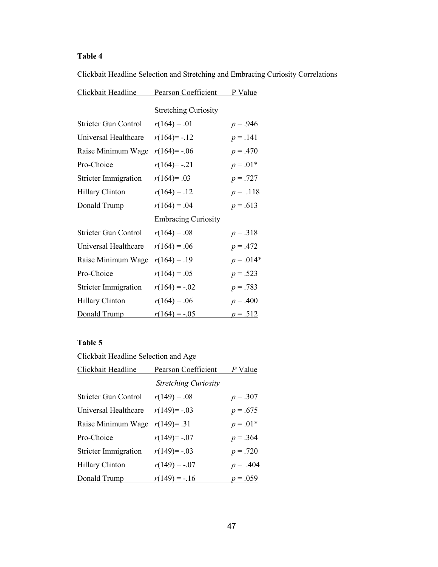# **Table 4**

Clickbait Headline Selection and Stretching and Embracing Curiosity Correlations

| Clickbait Headline          | <b>Pearson Coefficient</b>  | P Value     |
|-----------------------------|-----------------------------|-------------|
|                             | <b>Stretching Curiosity</b> |             |
| Stricter Gun Control        | $r(164) = .01$              | $p = .946$  |
| Universal Healthcare        | $r(164) = -0.12$            | $p = .141$  |
| Raise Minimum Wage          | $r(164) = -.06$             | $p = .470$  |
| Pro-Choice                  | $r(164) = -0.21$            | $p = .01*$  |
| <b>Stricter Immigration</b> | $r(164)=0.03$               | $p = .727$  |
| Hillary Clinton             | $r(164) = .12$              | $p = .118$  |
| Donald Trump                | $r(164) = .04$              | $p = .613$  |
|                             | <b>Embracing Curiosity</b>  |             |
| <b>Stricter Gun Control</b> | $r(164) = .08$              | $p = .318$  |
| Universal Healthcare        | $r(164) = .06$              | $p = .472$  |
| Raise Minimum Wage          | $r(164) = .19$              | $p = .014*$ |
| Pro-Choice                  | $r(164) = .05$              | $p = .523$  |
| <b>Stricter Immigration</b> | $r(164) = -.02$             | $p = .783$  |
| <b>Hillary Clinton</b>      | $r(164) = .06$              | $p = .400$  |
| Donald Trump                | $r(164) = -.05$             | $p = .512$  |

## **Table 5**

Clickbait Headline Selection and Age

| Clickbait Headline          | Pearson Coefficient         | P Value    |
|-----------------------------|-----------------------------|------------|
|                             | <b>Stretching Curiosity</b> |            |
| <b>Stricter Gun Control</b> | $r(149) = .08$              | $p = .307$ |
| Universal Healthcare        | $r(149) = -03$              | $p = .675$ |
| Raise Minimum Wage          | $r(149) = .31$              | $p = .01*$ |
| Pro-Choice                  | $r(149) = -07$              | $p = .364$ |
| Stricter Immigration        | $r(149) = -03$              | $p = .720$ |
| Hillary Clinton             | $r(149) = -07$              | $p = .404$ |
| Donald Trump                | $r(149) = -16$              | $p = .059$ |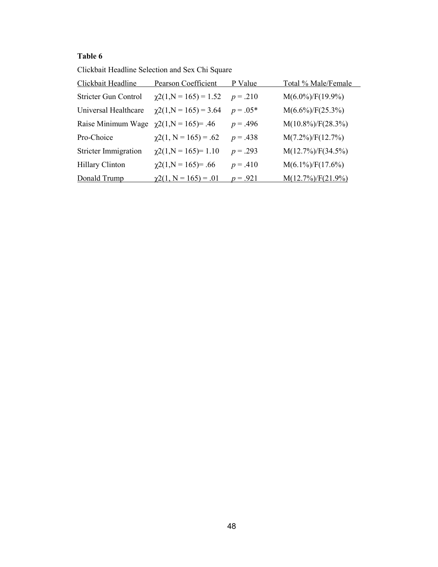# **Table 6**

Clickbait Headline Selection and Sex Chi Square

| Clickbait Headline          | Pearson Coefficient          | P Value    | Total % Male/Female   |
|-----------------------------|------------------------------|------------|-----------------------|
| Stricter Gun Control        | $\chi$ 2(1,N = 165) = 1.52   | $p = .210$ | $M(6.0\%)/F(19.9\%)$  |
| Universal Healthcare        | $\chi$ 2(1,N = 165) = 3.64   | $p = .05*$ | $M(6.6\%)/F(25.3\%)$  |
| Raise Minimum Wage          | $\chi$ 2(1,N = 165)= .46     | $p = .496$ | $M(10.8\%)/F(28.3\%)$ |
| Pro-Choice                  | $\chi$ 2(1, N = 165) = .62   | $p = .438$ | $M(7.2\%)/F(12.7\%)$  |
| <b>Stricter Immigration</b> | $\chi$ 2(1,N = 165)= 1.10    | $p = .293$ | $M(12.7\%)/F(34.5\%)$ |
| <b>Hillary Clinton</b>      | $\gamma$ 2(1,N = 165)= .66   | $p = .410$ | $M(6.1\%)/F(17.6\%)$  |
| Donald Trump                | $\gamma$ 2(1, N = 165) = .01 | $p = .921$ | $M(12.7\%)/F(21.9\%)$ |